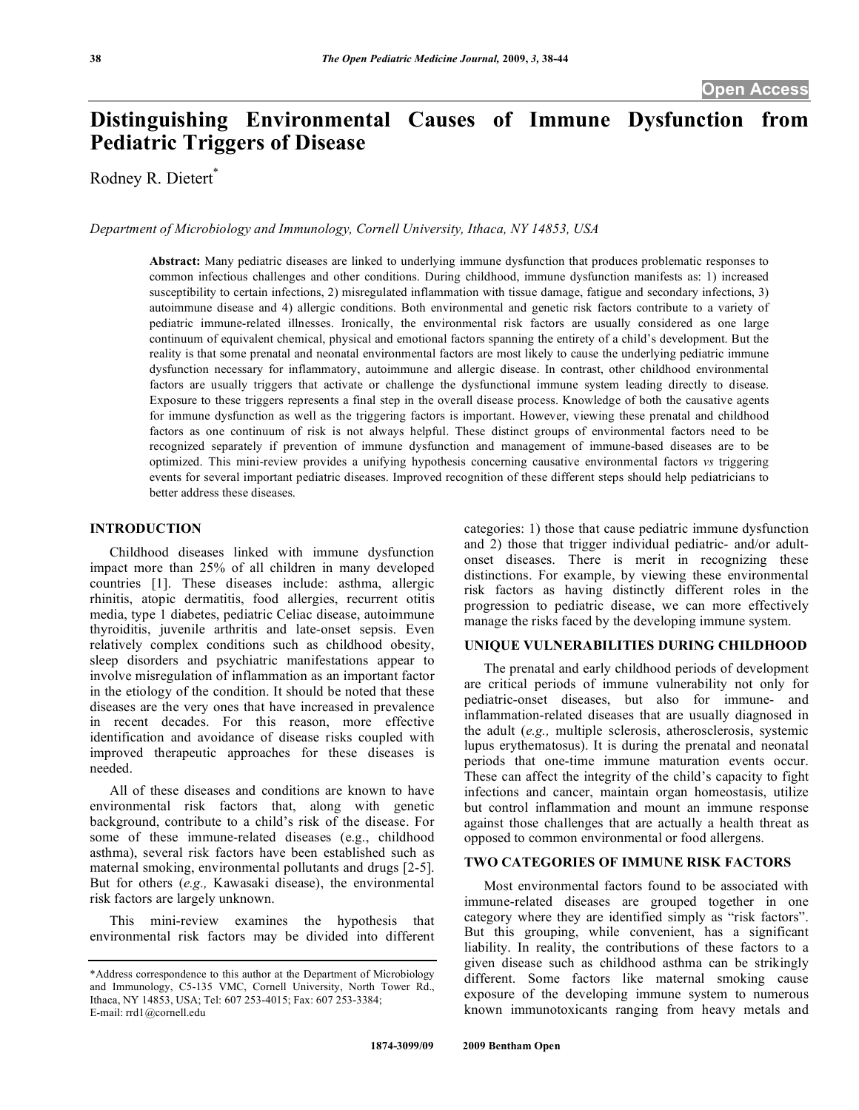# **Distinguishing Environmental Causes of Immune Dysfunction from Pediatric Triggers of Disease**

Rodney R. Dietert\*

*Department of Microbiology and Immunology, Cornell University, Ithaca, NY 14853, USA* 

**Abstract:** Many pediatric diseases are linked to underlying immune dysfunction that produces problematic responses to common infectious challenges and other conditions. During childhood, immune dysfunction manifests as: 1) increased susceptibility to certain infections, 2) misregulated inflammation with tissue damage, fatigue and secondary infections, 3) autoimmune disease and 4) allergic conditions. Both environmental and genetic risk factors contribute to a variety of pediatric immune-related illnesses. Ironically, the environmental risk factors are usually considered as one large continuum of equivalent chemical, physical and emotional factors spanning the entirety of a child's development. But the reality is that some prenatal and neonatal environmental factors are most likely to cause the underlying pediatric immune dysfunction necessary for inflammatory, autoimmune and allergic disease. In contrast, other childhood environmental factors are usually triggers that activate or challenge the dysfunctional immune system leading directly to disease. Exposure to these triggers represents a final step in the overall disease process. Knowledge of both the causative agents for immune dysfunction as well as the triggering factors is important. However, viewing these prenatal and childhood factors as one continuum of risk is not always helpful. These distinct groups of environmental factors need to be recognized separately if prevention of immune dysfunction and management of immune-based diseases are to be optimized. This mini-review provides a unifying hypothesis concerning causative environmental factors *vs* triggering events for several important pediatric diseases. Improved recognition of these different steps should help pediatricians to better address these diseases.

# **INTRODUCTION**

 Childhood diseases linked with immune dysfunction impact more than 25% of all children in many developed countries [1]. These diseases include: asthma, allergic rhinitis, atopic dermatitis, food allergies, recurrent otitis media, type 1 diabetes, pediatric Celiac disease, autoimmune thyroiditis, juvenile arthritis and late-onset sepsis. Even relatively complex conditions such as childhood obesity, sleep disorders and psychiatric manifestations appear to involve misregulation of inflammation as an important factor in the etiology of the condition. It should be noted that these diseases are the very ones that have increased in prevalence in recent decades. For this reason, more effective identification and avoidance of disease risks coupled with improved therapeutic approaches for these diseases is needed.

 All of these diseases and conditions are known to have environmental risk factors that, along with genetic background, contribute to a child's risk of the disease. For some of these immune-related diseases (e.g., childhood asthma), several risk factors have been established such as maternal smoking, environmental pollutants and drugs [2-5]. But for others (*e.g.,* Kawasaki disease), the environmental risk factors are largely unknown.

 This mini-review examines the hypothesis that environmental risk factors may be divided into different categories: 1) those that cause pediatric immune dysfunction and 2) those that trigger individual pediatric- and/or adultonset diseases. There is merit in recognizing these distinctions. For example, by viewing these environmental risk factors as having distinctly different roles in the progression to pediatric disease, we can more effectively manage the risks faced by the developing immune system.

#### **UNIQUE VULNERABILITIES DURING CHILDHOOD**

 The prenatal and early childhood periods of development are critical periods of immune vulnerability not only for pediatric-onset diseases, but also for immune- and inflammation-related diseases that are usually diagnosed in the adult (*e.g.,* multiple sclerosis, atherosclerosis, systemic lupus erythematosus). It is during the prenatal and neonatal periods that one-time immune maturation events occur. These can affect the integrity of the child's capacity to fight infections and cancer, maintain organ homeostasis, utilize but control inflammation and mount an immune response against those challenges that are actually a health threat as opposed to common environmental or food allergens.

## **TWO CATEGORIES OF IMMUNE RISK FACTORS**

 Most environmental factors found to be associated with immune-related diseases are grouped together in one category where they are identified simply as "risk factors". But this grouping, while convenient, has a significant liability. In reality, the contributions of these factors to a given disease such as childhood asthma can be strikingly different. Some factors like maternal smoking cause exposure of the developing immune system to numerous known immunotoxicants ranging from heavy metals and

<sup>\*</sup>Address correspondence to this author at the Department of Microbiology and Immunology, C5-135 VMC, Cornell University, North Tower Rd., Ithaca, NY 14853, USA; Tel: 607 253-4015; Fax: 607 253-3384; E-mail: rrd1@cornell.edu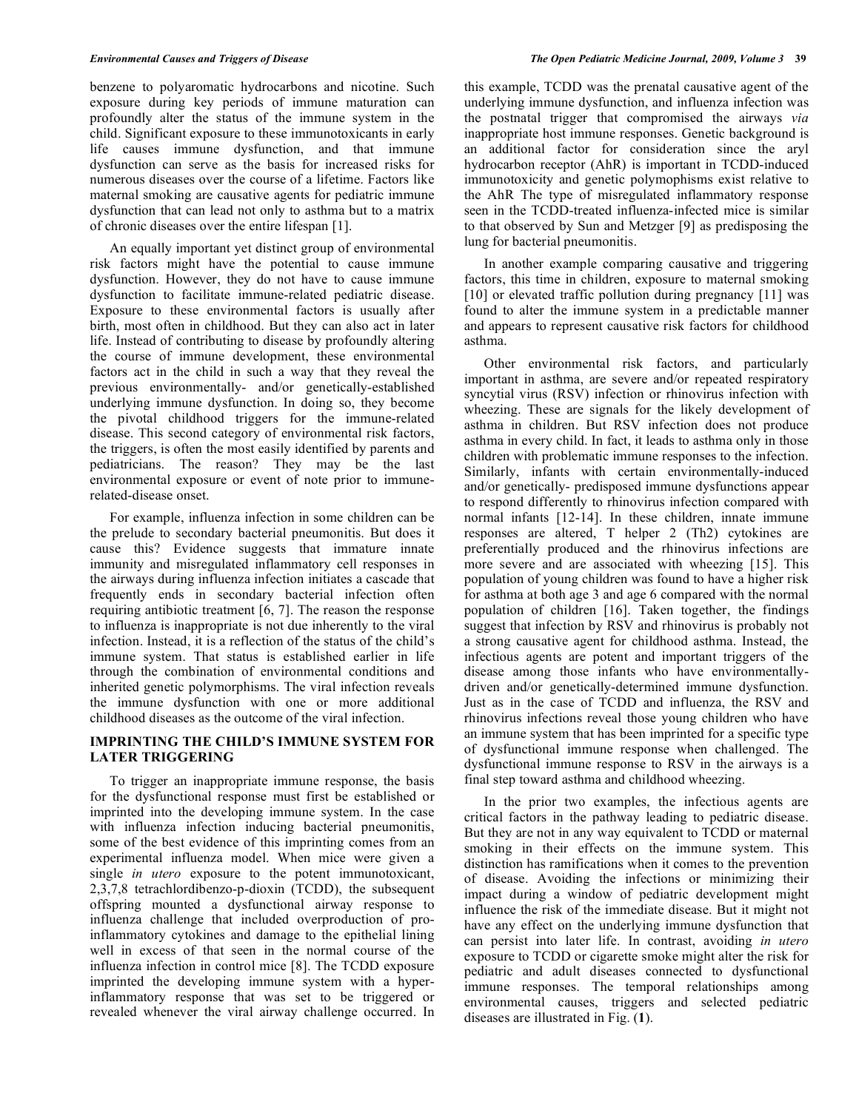benzene to polyaromatic hydrocarbons and nicotine. Such exposure during key periods of immune maturation can profoundly alter the status of the immune system in the child. Significant exposure to these immunotoxicants in early life causes immune dysfunction, and that immune dysfunction can serve as the basis for increased risks for numerous diseases over the course of a lifetime. Factors like maternal smoking are causative agents for pediatric immune dysfunction that can lead not only to asthma but to a matrix of chronic diseases over the entire lifespan [1].

 An equally important yet distinct group of environmental risk factors might have the potential to cause immune dysfunction. However, they do not have to cause immune dysfunction to facilitate immune-related pediatric disease. Exposure to these environmental factors is usually after birth, most often in childhood. But they can also act in later life. Instead of contributing to disease by profoundly altering the course of immune development, these environmental factors act in the child in such a way that they reveal the previous environmentally- and/or genetically-established underlying immune dysfunction. In doing so, they become the pivotal childhood triggers for the immune-related disease. This second category of environmental risk factors, the triggers, is often the most easily identified by parents and pediatricians. The reason? They may be the last environmental exposure or event of note prior to immunerelated-disease onset.

 For example, influenza infection in some children can be the prelude to secondary bacterial pneumonitis. But does it cause this? Evidence suggests that immature innate immunity and misregulated inflammatory cell responses in the airways during influenza infection initiates a cascade that frequently ends in secondary bacterial infection often requiring antibiotic treatment [6, 7]. The reason the response to influenza is inappropriate is not due inherently to the viral infection. Instead, it is a reflection of the status of the child's immune system. That status is established earlier in life through the combination of environmental conditions and inherited genetic polymorphisms. The viral infection reveals the immune dysfunction with one or more additional childhood diseases as the outcome of the viral infection.

# **IMPRINTING THE CHILD'S IMMUNE SYSTEM FOR LATER TRIGGERING**

 To trigger an inappropriate immune response, the basis for the dysfunctional response must first be established or imprinted into the developing immune system. In the case with influenza infection inducing bacterial pneumonitis, some of the best evidence of this imprinting comes from an experimental influenza model. When mice were given a single *in utero* exposure to the potent immunotoxicant, 2,3,7,8 tetrachlordibenzo-p-dioxin (TCDD), the subsequent offspring mounted a dysfunctional airway response to influenza challenge that included overproduction of proinflammatory cytokines and damage to the epithelial lining well in excess of that seen in the normal course of the influenza infection in control mice [8]. The TCDD exposure imprinted the developing immune system with a hyperinflammatory response that was set to be triggered or revealed whenever the viral airway challenge occurred. In

this example, TCDD was the prenatal causative agent of the underlying immune dysfunction, and influenza infection was the postnatal trigger that compromised the airways *via*  inappropriate host immune responses. Genetic background is an additional factor for consideration since the aryl hydrocarbon receptor (AhR) is important in TCDD-induced immunotoxicity and genetic polymophisms exist relative to the AhR The type of misregulated inflammatory response seen in the TCDD-treated influenza-infected mice is similar to that observed by Sun and Metzger [9] as predisposing the lung for bacterial pneumonitis.

 In another example comparing causative and triggering factors, this time in children, exposure to maternal smoking [10] or elevated traffic pollution during pregnancy [11] was found to alter the immune system in a predictable manner and appears to represent causative risk factors for childhood asthma.

 Other environmental risk factors, and particularly important in asthma, are severe and/or repeated respiratory syncytial virus (RSV) infection or rhinovirus infection with wheezing. These are signals for the likely development of asthma in children. But RSV infection does not produce asthma in every child. In fact, it leads to asthma only in those children with problematic immune responses to the infection. Similarly, infants with certain environmentally-induced and/or genetically- predisposed immune dysfunctions appear to respond differently to rhinovirus infection compared with normal infants [12-14]. In these children, innate immune responses are altered, T helper 2 (Th2) cytokines are preferentially produced and the rhinovirus infections are more severe and are associated with wheezing [15]. This population of young children was found to have a higher risk for asthma at both age 3 and age 6 compared with the normal population of children [16]. Taken together, the findings suggest that infection by RSV and rhinovirus is probably not a strong causative agent for childhood asthma. Instead, the infectious agents are potent and important triggers of the disease among those infants who have environmentallydriven and/or genetically-determined immune dysfunction. Just as in the case of TCDD and influenza, the RSV and rhinovirus infections reveal those young children who have an immune system that has been imprinted for a specific type of dysfunctional immune response when challenged. The dysfunctional immune response to RSV in the airways is a final step toward asthma and childhood wheezing.

 In the prior two examples, the infectious agents are critical factors in the pathway leading to pediatric disease. But they are not in any way equivalent to TCDD or maternal smoking in their effects on the immune system. This distinction has ramifications when it comes to the prevention of disease. Avoiding the infections or minimizing their impact during a window of pediatric development might influence the risk of the immediate disease. But it might not have any effect on the underlying immune dysfunction that can persist into later life. In contrast, avoiding *in utero* exposure to TCDD or cigarette smoke might alter the risk for pediatric and adult diseases connected to dysfunctional immune responses. The temporal relationships among environmental causes, triggers and selected pediatric diseases are illustrated in Fig. (**1**).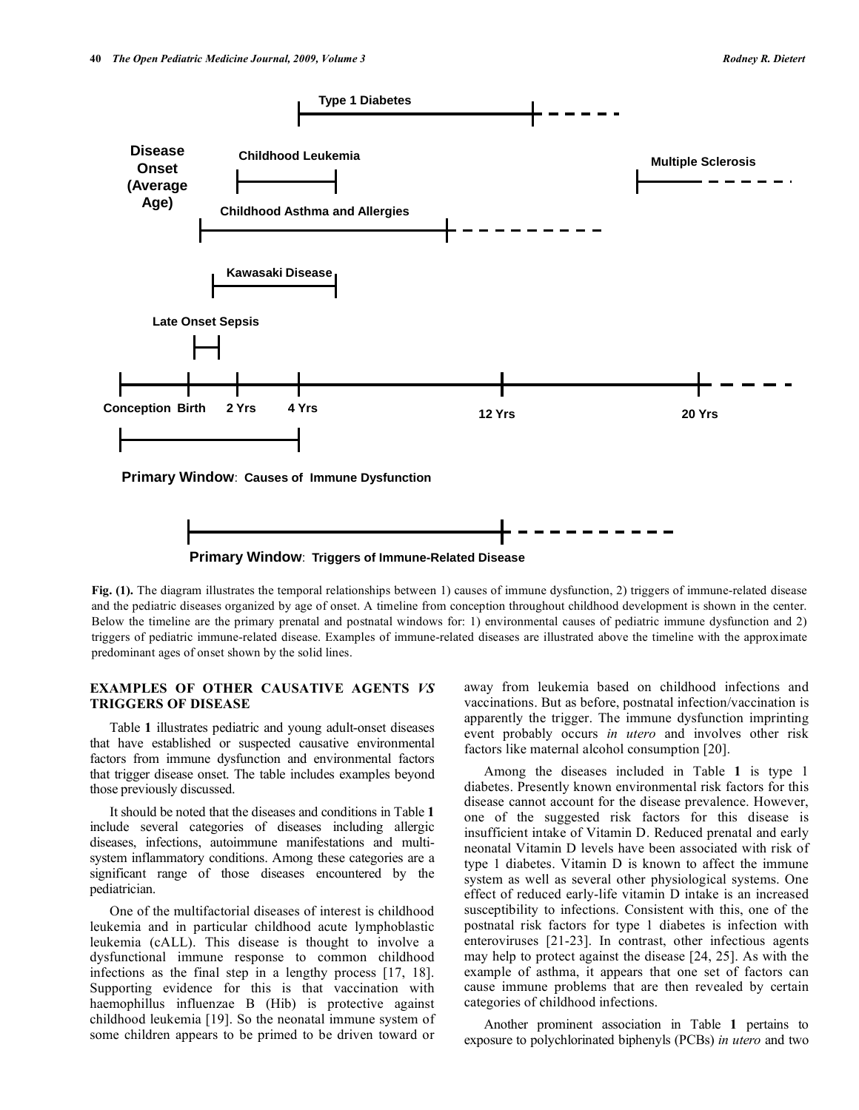



**Fig. (1).** The diagram illustrates the temporal relationships between 1) causes of immune dysfunction, 2) triggers of immune-related disease and the pediatric diseases organized by age of onset. A timeline from conception throughout childhood development is shown in the center. Below the timeline are the primary prenatal and postnatal windows for: 1) environmental causes of pediatric immune dysfunction and 2) triggers of pediatric immune-related disease. Examples of immune-related diseases are illustrated above the timeline with the approximate predominant ages of onset shown by the solid lines.

### **EXAMPLES OF OTHER CAUSATIVE AGENTS** *VS* **TRIGGERS OF DISEASE**

 Table **1** illustrates pediatric and young adult-onset diseases that have established or suspected causative environmental factors from immune dysfunction and environmental factors that trigger disease onset. The table includes examples beyond those previously discussed.

 It should be noted that the diseases and conditions in Table **1** include several categories of diseases including allergic diseases, infections, autoimmune manifestations and multisystem inflammatory conditions. Among these categories are a significant range of those diseases encountered by the pediatrician.

 One of the multifactorial diseases of interest is childhood leukemia and in particular childhood acute lymphoblastic leukemia (cALL). This disease is thought to involve a dysfunctional immune response to common childhood infections as the final step in a lengthy process [17, 18]. Supporting evidence for this is that vaccination with haemophillus influenzae B (Hib) is protective against childhood leukemia [19]. So the neonatal immune system of some children appears to be primed to be driven toward or

away from leukemia based on childhood infections and vaccinations. But as before, postnatal infection/vaccination is apparently the trigger. The immune dysfunction imprinting event probably occurs *in utero* and involves other risk factors like maternal alcohol consumption [20].

 Among the diseases included in Table **1** is type 1 diabetes. Presently known environmental risk factors for this disease cannot account for the disease prevalence. However, one of the suggested risk factors for this disease is insufficient intake of Vitamin D. Reduced prenatal and early neonatal Vitamin D levels have been associated with risk of type 1 diabetes. Vitamin D is known to affect the immune system as well as several other physiological systems. One effect of reduced early-life vitamin D intake is an increased susceptibility to infections. Consistent with this, one of the postnatal risk factors for type 1 diabetes is infection with enteroviruses [21-23]. In contrast, other infectious agents may help to protect against the disease [24, 25]. As with the example of asthma, it appears that one set of factors can cause immune problems that are then revealed by certain categories of childhood infections.

 Another prominent association in Table **1** pertains to exposure to polychlorinated biphenyls (PCBs) *in utero* and two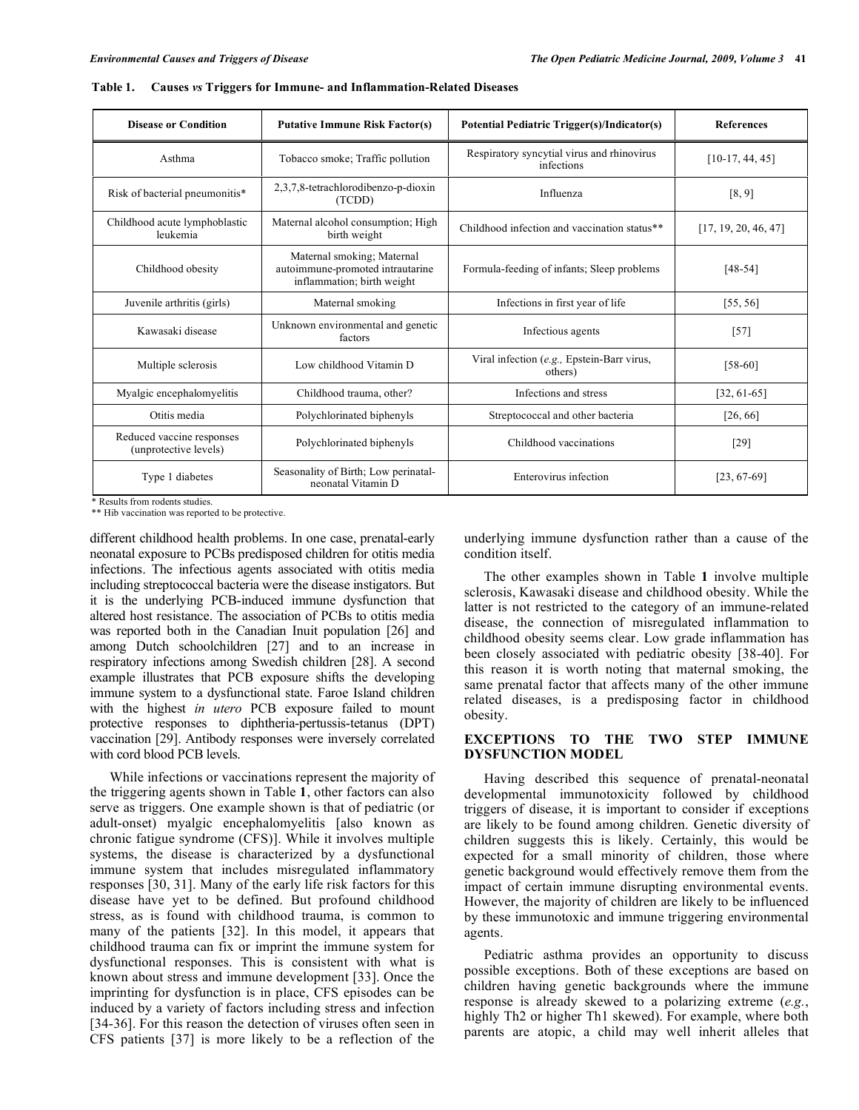| <b>Disease or Condition</b>                        | <b>Putative Immune Risk Factor(s)</b>                                                        | Potential Pediatric Trigger(s)/Indicator(s)              | <b>References</b>    |
|----------------------------------------------------|----------------------------------------------------------------------------------------------|----------------------------------------------------------|----------------------|
| Asthma                                             | Tobacco smoke; Traffic pollution                                                             | Respiratory syncytial virus and rhinovirus<br>infections | $[10-17, 44, 45]$    |
| Risk of bacterial pneumonitis*                     | 2,3,7,8-tetrachlorodibenzo-p-dioxin<br>(TCDD)                                                | Influenza                                                | [8, 9]               |
| Childhood acute lymphoblastic<br>leukemia          | Maternal alcohol consumption; High<br>birth weight                                           | Childhood infection and vaccination status**             | [17, 19, 20, 46, 47] |
| Childhood obesity                                  | Maternal smoking; Maternal<br>autoimmune-promoted intrautarine<br>inflammation; birth weight | Formula-feeding of infants; Sleep problems               | $[48-54]$            |
| Juvenile arthritis (girls)                         | Maternal smoking                                                                             | Infections in first year of life                         | [55, 56]             |
| Kawasaki disease                                   | Unknown environmental and genetic<br>factors                                                 | Infectious agents                                        | $[57]$               |
| Multiple sclerosis                                 | Low childhood Vitamin D                                                                      | Viral infection (e.g., Epstein-Barr virus,<br>others)    | $[58-60]$            |
| Myalgic encephalomyelitis                          | Childhood trauma, other?                                                                     | Infections and stress                                    | $[32, 61-65]$        |
| Otitis media                                       | Polychlorinated biphenyls                                                                    | Streptococcal and other bacteria                         | [26, 66]             |
| Reduced vaccine responses<br>(unprotective levels) | Polychlorinated biphenyls                                                                    | Childhood vaccinations                                   | $[29]$               |
| Type 1 diabetes                                    | Seasonality of Birth; Low perinatal-<br>neonatal Vitamin D                                   | Enterovirus infection                                    | $[23, 67-69]$        |

**Table 1. Causes** *vs* **Triggers for Immune- and Inflammation-Related Diseases** 

\* Results from rodents studies.

\*\* Hib vaccination was reported to be protective.

different childhood health problems. In one case, prenatal-early neonatal exposure to PCBs predisposed children for otitis media infections. The infectious agents associated with otitis media including streptococcal bacteria were the disease instigators. But it is the underlying PCB-induced immune dysfunction that altered host resistance. The association of PCBs to otitis media was reported both in the Canadian Inuit population [26] and among Dutch schoolchildren [27] and to an increase in respiratory infections among Swedish children [28]. A second example illustrates that PCB exposure shifts the developing immune system to a dysfunctional state. Faroe Island children with the highest *in utero* PCB exposure failed to mount protective responses to diphtheria-pertussis-tetanus (DPT) vaccination [29]. Antibody responses were inversely correlated with cord blood PCB levels.

 While infections or vaccinations represent the majority of the triggering agents shown in Table **1**, other factors can also serve as triggers. One example shown is that of pediatric (or adult-onset) myalgic encephalomyelitis [also known as chronic fatigue syndrome (CFS)]. While it involves multiple systems, the disease is characterized by a dysfunctional immune system that includes misregulated inflammatory responses [30, 31]. Many of the early life risk factors for this disease have yet to be defined. But profound childhood stress, as is found with childhood trauma, is common to many of the patients [32]. In this model, it appears that childhood trauma can fix or imprint the immune system for dysfunctional responses. This is consistent with what is known about stress and immune development [33]. Once the imprinting for dysfunction is in place, CFS episodes can be induced by a variety of factors including stress and infection [34-36]. For this reason the detection of viruses often seen in CFS patients [37] is more likely to be a reflection of the

underlying immune dysfunction rather than a cause of the condition itself.

 The other examples shown in Table **1** involve multiple sclerosis, Kawasaki disease and childhood obesity. While the latter is not restricted to the category of an immune-related disease, the connection of misregulated inflammation to childhood obesity seems clear. Low grade inflammation has been closely associated with pediatric obesity [38-40]. For this reason it is worth noting that maternal smoking, the same prenatal factor that affects many of the other immune related diseases, is a predisposing factor in childhood obesity.

#### **EXCEPTIONS TO THE TWO STEP IMMUNE DYSFUNCTION MODEL**

 Having described this sequence of prenatal-neonatal developmental immunotoxicity followed by childhood triggers of disease, it is important to consider if exceptions are likely to be found among children. Genetic diversity of children suggests this is likely. Certainly, this would be expected for a small minority of children, those where genetic background would effectively remove them from the impact of certain immune disrupting environmental events. However, the majority of children are likely to be influenced by these immunotoxic and immune triggering environmental agents.

 Pediatric asthma provides an opportunity to discuss possible exceptions. Both of these exceptions are based on children having genetic backgrounds where the immune response is already skewed to a polarizing extreme (*e.g.*, highly Th2 or higher Th1 skewed). For example, where both parents are atopic, a child may well inherit alleles that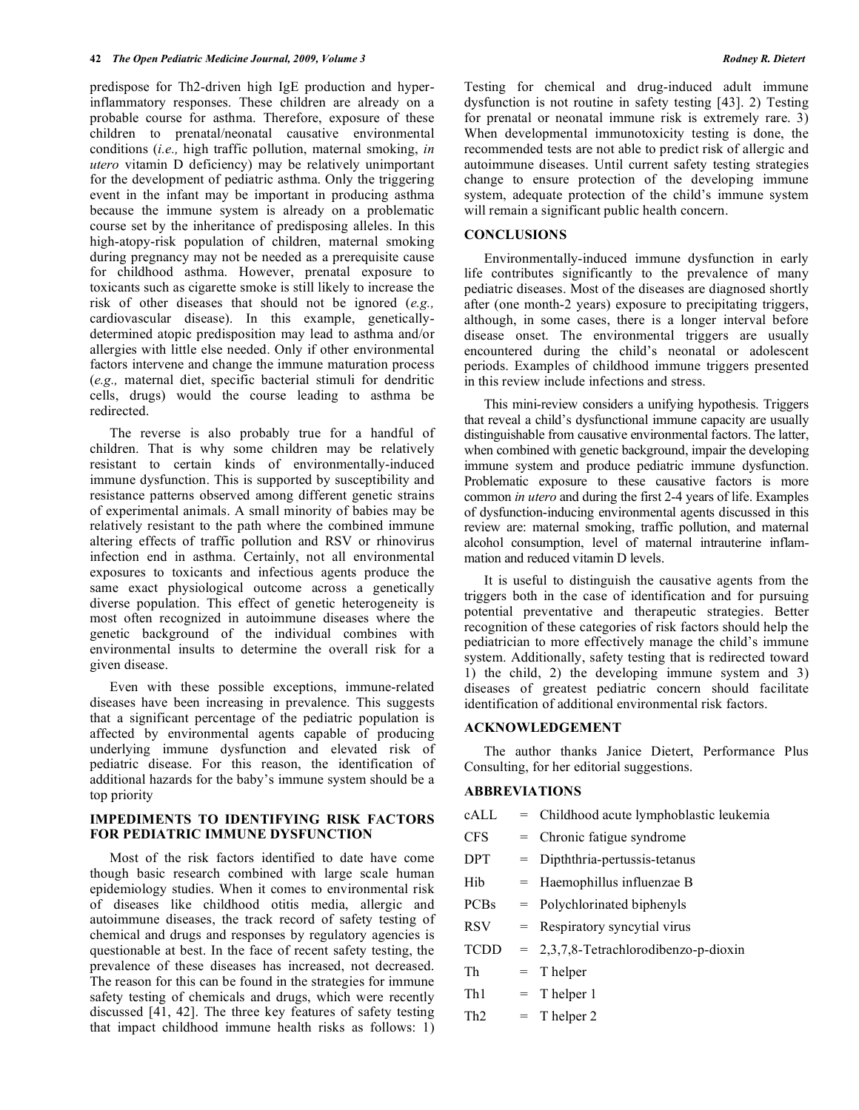predispose for Th2-driven high IgE production and hyperinflammatory responses. These children are already on a probable course for asthma. Therefore, exposure of these children to prenatal/neonatal causative environmental conditions (*i.e.,* high traffic pollution, maternal smoking, *in utero* vitamin D deficiency) may be relatively unimportant for the development of pediatric asthma. Only the triggering event in the infant may be important in producing asthma because the immune system is already on a problematic course set by the inheritance of predisposing alleles. In this high-atopy-risk population of children, maternal smoking during pregnancy may not be needed as a prerequisite cause for childhood asthma. However, prenatal exposure to toxicants such as cigarette smoke is still likely to increase the risk of other diseases that should not be ignored (*e.g.,* cardiovascular disease). In this example, geneticallydetermined atopic predisposition may lead to asthma and/or allergies with little else needed. Only if other environmental factors intervene and change the immune maturation process (*e.g.,* maternal diet, specific bacterial stimuli for dendritic cells, drugs) would the course leading to asthma be redirected.

 The reverse is also probably true for a handful of children. That is why some children may be relatively resistant to certain kinds of environmentally-induced immune dysfunction. This is supported by susceptibility and resistance patterns observed among different genetic strains of experimental animals. A small minority of babies may be relatively resistant to the path where the combined immune altering effects of traffic pollution and RSV or rhinovirus infection end in asthma. Certainly, not all environmental exposures to toxicants and infectious agents produce the same exact physiological outcome across a genetically diverse population. This effect of genetic heterogeneity is most often recognized in autoimmune diseases where the genetic background of the individual combines with environmental insults to determine the overall risk for a given disease.

 Even with these possible exceptions, immune-related diseases have been increasing in prevalence. This suggests that a significant percentage of the pediatric population is affected by environmental agents capable of producing underlying immune dysfunction and elevated risk of pediatric disease. For this reason, the identification of additional hazards for the baby's immune system should be a top priority

# **IMPEDIMENTS TO IDENTIFYING RISK FACTORS FOR PEDIATRIC IMMUNE DYSFUNCTION**

 Most of the risk factors identified to date have come though basic research combined with large scale human epidemiology studies. When it comes to environmental risk of diseases like childhood otitis media, allergic and autoimmune diseases, the track record of safety testing of chemical and drugs and responses by regulatory agencies is questionable at best. In the face of recent safety testing, the prevalence of these diseases has increased, not decreased. The reason for this can be found in the strategies for immune safety testing of chemicals and drugs, which were recently discussed [41, 42]. The three key features of safety testing that impact childhood immune health risks as follows: 1) Testing for chemical and drug-induced adult immune dysfunction is not routine in safety testing [43]. 2) Testing for prenatal or neonatal immune risk is extremely rare. 3) When developmental immunotoxicity testing is done, the recommended tests are not able to predict risk of allergic and autoimmune diseases. Until current safety testing strategies change to ensure protection of the developing immune system, adequate protection of the child's immune system will remain a significant public health concern.

#### **CONCLUSIONS**

 Environmentally-induced immune dysfunction in early life contributes significantly to the prevalence of many pediatric diseases. Most of the diseases are diagnosed shortly after (one month-2 years) exposure to precipitating triggers, although, in some cases, there is a longer interval before disease onset. The environmental triggers are usually encountered during the child's neonatal or adolescent periods. Examples of childhood immune triggers presented in this review include infections and stress.

 This mini-review considers a unifying hypothesis. Triggers that reveal a child's dysfunctional immune capacity are usually distinguishable from causative environmental factors. The latter, when combined with genetic background, impair the developing immune system and produce pediatric immune dysfunction. Problematic exposure to these causative factors is more common *in utero* and during the first 2-4 years of life. Examples of dysfunction-inducing environmental agents discussed in this review are: maternal smoking, traffic pollution, and maternal alcohol consumption, level of maternal intrauterine inflammation and reduced vitamin D levels.

 It is useful to distinguish the causative agents from the triggers both in the case of identification and for pursuing potential preventative and therapeutic strategies. Better recognition of these categories of risk factors should help the pediatrician to more effectively manage the child's immune system. Additionally, safety testing that is redirected toward 1) the child, 2) the developing immune system and 3) diseases of greatest pediatric concern should facilitate identification of additional environmental risk factors.

# **ACKNOWLEDGEMENT**

 The author thanks Janice Dietert, Performance Plus Consulting, for her editorial suggestions.

#### **ABBREVIATIONS**

| cALL            |     | = Childhood acute lymphoblastic leukemia |
|-----------------|-----|------------------------------------------|
| <b>CFS</b>      |     | $=$ Chronic fatigue syndrome             |
| <b>DPT</b>      | $=$ | Dipththria-pertussis-tetanus             |
| Hib             |     | $=$ Haemophillus influenzae B            |
| <b>PCBs</b>     |     | $=$ Polychlorinated biphenyls            |
| <b>RSV</b>      |     | $=$ Respiratory syncytial virus          |
| <b>TCDD</b>     |     | $= 2,3,7,8$ -Tetrachlorodibenzo-p-dioxin |
| Th              |     | $=$ T helper                             |
| Th <sub>1</sub> |     | $=$ T helper 1                           |
| Th <sub>2</sub> |     | $=$ T helper 2                           |
|                 |     |                                          |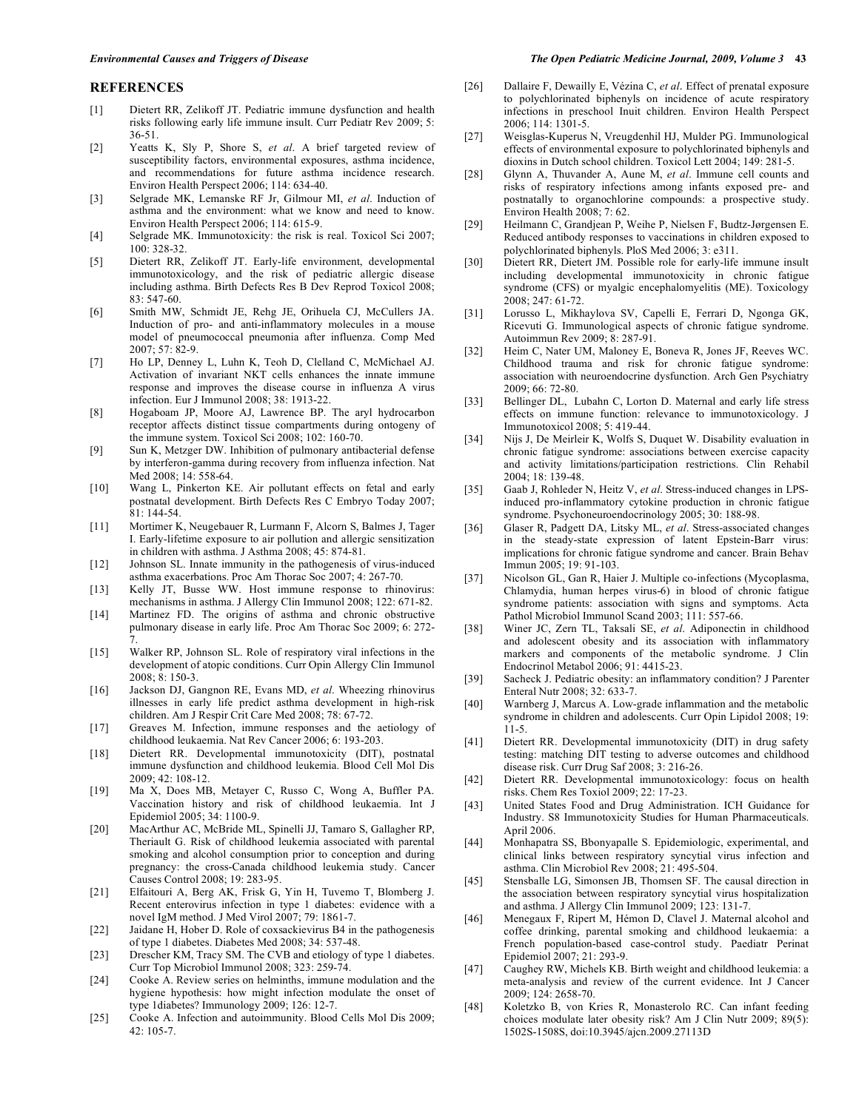#### **REFERENCES**

- [1] Dietert RR, Zelikoff JT. Pediatric immune dysfunction and health risks following early life immune insult. Curr Pediatr Rev 2009; 5: 36-51.
- [2] Yeatts K, Sly P, Shore S, *et al*. A brief targeted review of susceptibility factors, environmental exposures, asthma incidence, and recommendations for future asthma incidence research. Environ Health Perspect 2006; 114: 634-40.
- [3] Selgrade MK, Lemanske RF Jr, Gilmour MI, *et al*. Induction of asthma and the environment: what we know and need to know. Environ Health Perspect 2006; 114: 615-9.
- [4] Selgrade MK. Immunotoxicity: the risk is real. Toxicol Sci 2007; 100: 328-32.
- [5] Dietert RR, Zelikoff JT. Early-life environment, developmental immunotoxicology, and the risk of pediatric allergic disease including asthma. Birth Defects Res B Dev Reprod Toxicol 2008; 83: 547-60.
- [6] Smith MW, Schmidt JE, Rehg JE, Orihuela CJ, McCullers JA. Induction of pro- and anti-inflammatory molecules in a mouse model of pneumococcal pneumonia after influenza. Comp Med 2007; 57: 82-9.
- [7] Ho LP, Denney L, Luhn K, Teoh D, Clelland C, McMichael AJ. Activation of invariant NKT cells enhances the innate immune response and improves the disease course in influenza A virus infection. Eur J Immunol 2008; 38: 1913-22.
- [8] Hogaboam JP, Moore AJ, Lawrence BP. The aryl hydrocarbon receptor affects distinct tissue compartments during ontogeny of the immune system. Toxicol Sci 2008; 102: 160-70.
- [9] Sun K, Metzger DW. Inhibition of pulmonary antibacterial defense by interferon-gamma during recovery from influenza infection. Nat Med 2008; 14: 558-64.
- [10] Wang L, Pinkerton KE. Air pollutant effects on fetal and early postnatal development. Birth Defects Res C Embryo Today 2007; 81: 144-54.
- [11] Mortimer K, Neugebauer R, Lurmann F, Alcorn S, Balmes J, Tager I. Early-lifetime exposure to air pollution and allergic sensitization in children with asthma. J Asthma 2008; 45: 874-81.
- [12] Johnson SL. Innate immunity in the pathogenesis of virus-induced asthma exacerbations. Proc Am Thorac Soc 2007; 4: 267-70.
- [13] Kelly JT, Busse WW. Host immune response to rhinovirus: mechanisms in asthma. J Allergy Clin Immunol 2008; 122: 671-82.
- [14] Martinez FD. The origins of asthma and chronic obstructive pulmonary disease in early life. Proc Am Thorac Soc 2009; 6: 272- 7.
- [15] Walker RP, Johnson SL. Role of respiratory viral infections in the development of atopic conditions. Curr Opin Allergy Clin Immunol 2008; 8: 150-3.
- [16] Jackson DJ, Gangnon RE, Evans MD, *et al*. Wheezing rhinovirus illnesses in early life predict asthma development in high-risk children. Am J Respir Crit Care Med 2008; 78: 67-72.
- [17] Greaves M. Infection, immune responses and the aetiology of childhood leukaemia. Nat Rev Cancer 2006; 6: 193-203.
- [18] Dietert RR. Developmental immunotoxicity (DIT), postnatal immune dysfunction and childhood leukemia. Blood Cell Mol Dis 2009; 42: 108-12.
- [19] Ma X, Does MB, Metayer C, Russo C, Wong A, Buffler PA. Vaccination history and risk of childhood leukaemia. Int J Epidemiol 2005; 34: 1100-9.
- [20] MacArthur AC, McBride ML, Spinelli JJ, Tamaro S, Gallagher RP, Theriault G. Risk of childhood leukemia associated with parental smoking and alcohol consumption prior to conception and during pregnancy: the cross-Canada childhood leukemia study. Cancer Causes Control 2008; 19: 283-95.
- [21] Elfaitouri A, Berg AK, Frisk G, Yin H, Tuvemo T, Blomberg J. Recent enterovirus infection in type 1 diabetes: evidence with a novel IgM method. J Med Virol 2007; 79: 1861-7.
- [22] Jaidane H, Hober D. Role of coxsackievirus B4 in the pathogenesis of type 1 diabetes. Diabetes Med 2008; 34: 537-48.
- [23] Drescher KM, Tracy SM. The CVB and etiology of type 1 diabetes. Curr Top Microbiol Immunol 2008; 323: 259-74.
- [24] Cooke A. Review series on helminths, immune modulation and the hygiene hypothesis: how might infection modulate the onset of type 1diabetes? Immunology 2009; 126: 12-7.
- [25] Cooke A. Infection and autoimmunity. Blood Cells Mol Dis 2009; 42: 105-7.

#### *Environmental Causes and Triggers of Disease The Open Pediatric Medicine Journal, 2009, Volume 3* **43**

- [26] Dallaire F, Dewailly E, Vézina C, *et al*. Effect of prenatal exposure to polychlorinated biphenyls on incidence of acute respiratory infections in preschool Inuit children. Environ Health Perspect 2006; 114: 1301-5.
- [27] Weisglas-Kuperus N, Vreugdenhil HJ, Mulder PG. Immunological effects of environmental exposure to polychlorinated biphenyls and dioxins in Dutch school children. Toxicol Lett 2004; 149: 281-5.
- [28] Glynn A, Thuvander A, Aune M, *et al*. Immune cell counts and risks of respiratory infections among infants exposed pre- and postnatally to organochlorine compounds: a prospective study. Environ Health 2008; 7: 62.
- [29] Heilmann C, Grandjean P, Weihe P, Nielsen F, Budtz-Jørgensen E. Reduced antibody responses to vaccinations in children exposed to polychlorinated biphenyls. PloS Med 2006; 3: e311.
- [30] Dietert RR, Dietert JM. Possible role for early-life immune insult including developmental immunotoxicity in chronic fatigue syndrome (CFS) or myalgic encephalomyelitis (ME). Toxicology 2008; 247: 61-72.
- [31] Lorusso L, Mikhaylova SV, Capelli E, Ferrari D, Ngonga GK, Ricevuti G. Immunological aspects of chronic fatigue syndrome. Autoimmun Rev 2009; 8: 287-91.
- [32] Heim C, Nater UM, Maloney E, Boneva R, Jones JF, Reeves WC. Childhood trauma and risk for chronic fatigue syndrome: association with neuroendocrine dysfunction. Arch Gen Psychiatry 2009; 66: 72-80.
- [33] Bellinger DL, Lubahn C, Lorton D. Maternal and early life stress effects on immune function: relevance to immunotoxicology. J Immunotoxicol 2008; 5: 419-44.
- [34] Nijs J, De Meirleir K, Wolfs S, Duquet W. Disability evaluation in chronic fatigue syndrome: associations between exercise capacity and activity limitations/participation restrictions. Clin Rehabil 2004; 18: 139-48.
- [35] Gaab J, Rohleder N, Heitz V, *et al*. Stress-induced changes in LPSinduced pro-inflammatory cytokine production in chronic fatigue syndrome. Psychoneuroendocrinology 2005; 30: 188-98.
- [36] Glaser R, Padgett DA, Litsky ML, *et al*. Stress-associated changes in the steady-state expression of latent Epstein-Barr virus: implications for chronic fatigue syndrome and cancer. Brain Behav Immun 2005; 19: 91-103.
- [37] Nicolson GL, Gan R, Haier J. Multiple co-infections (Mycoplasma, Chlamydia, human herpes virus-6) in blood of chronic fatigue syndrome patients: association with signs and symptoms. Acta Pathol Microbiol Immunol Scand 2003; 111: 557-66.
- [38] Winer JC, Zern TL, Taksali SE, *et al*. Adiponectin in childhood and adolescent obesity and its association with inflammatory markers and components of the metabolic syndrome. J Clin Endocrinol Metabol 2006; 91: 4415-23.
- [39] Sacheck J. Pediatric obesity: an inflammatory condition? J Parenter Enteral Nutr 2008; 32: 633-7.
- [40] Warnberg J, Marcus A. Low-grade inflammation and the metabolic syndrome in children and adolescents. Curr Opin Lipidol 2008; 19: 11-5.
- [41] Dietert RR. Developmental immunotoxicity (DIT) in drug safety testing: matching DIT testing to adverse outcomes and childhood disease risk. Curr Drug Saf 2008; 3: 216-26.
- [42] Dietert RR. Developmental immunotoxicology: focus on health risks. Chem Res Toxiol 2009; 22: 17-23.
- [43] United States Food and Drug Administration. ICH Guidance for Industry. S8 Immunotoxicity Studies for Human Pharmaceuticals. April 2006.
- [44] Monhapatra SS, Bbonyapalle S. Epidemiologic, experimental, and clinical links between respiratory syncytial virus infection and asthma. Clin Microbiol Rev 2008; 21: 495-504.
- [45] Stensballe LG, Simonsen JB, Thomsen SF. The causal direction in the association between respiratory syncytial virus hospitalization and asthma. J Allergy Clin Immunol 2009; 123: 131-7.
- [46] Menegaux F, Ripert M, Hémon D, Clavel J. Maternal alcohol and coffee drinking, parental smoking and childhood leukaemia: a French population-based case-control study. Paediatr Perinat Epidemiol 2007; 21: 293-9.
- [47] Caughey RW, Michels KB. Birth weight and childhood leukemia: a meta-analysis and review of the current evidence. Int J Cancer 2009; 124: 2658-70.
- [48] Koletzko B, von Kries R, Monasterolo RC. Can infant feeding choices modulate later obesity risk? Am J Clin Nutr 2009; 89(5): 1502S-1508S, doi:10.3945/ajcn.2009.27113D